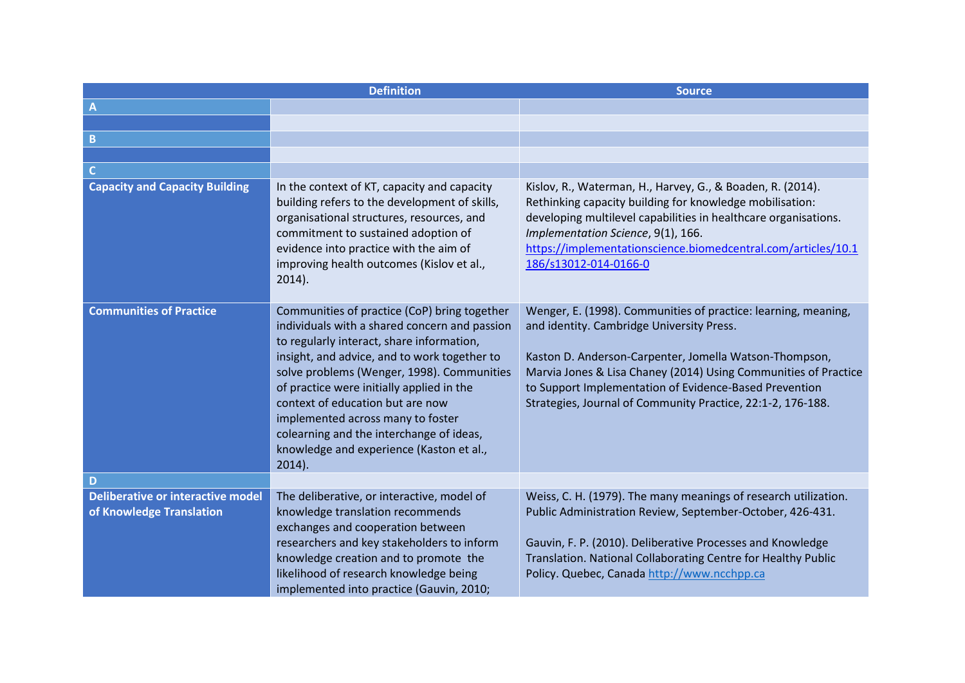|                                                                      | <b>Definition</b>                                                                                                                                                                                                                                                                                                                                                                                                                                                   | <b>Source</b>                                                                                                                                                                                                                                                                                                                                                     |
|----------------------------------------------------------------------|---------------------------------------------------------------------------------------------------------------------------------------------------------------------------------------------------------------------------------------------------------------------------------------------------------------------------------------------------------------------------------------------------------------------------------------------------------------------|-------------------------------------------------------------------------------------------------------------------------------------------------------------------------------------------------------------------------------------------------------------------------------------------------------------------------------------------------------------------|
| $\mathbf{A}$                                                         |                                                                                                                                                                                                                                                                                                                                                                                                                                                                     |                                                                                                                                                                                                                                                                                                                                                                   |
|                                                                      |                                                                                                                                                                                                                                                                                                                                                                                                                                                                     |                                                                                                                                                                                                                                                                                                                                                                   |
| B                                                                    |                                                                                                                                                                                                                                                                                                                                                                                                                                                                     |                                                                                                                                                                                                                                                                                                                                                                   |
|                                                                      |                                                                                                                                                                                                                                                                                                                                                                                                                                                                     |                                                                                                                                                                                                                                                                                                                                                                   |
| $\mathsf{C}$                                                         |                                                                                                                                                                                                                                                                                                                                                                                                                                                                     |                                                                                                                                                                                                                                                                                                                                                                   |
| <b>Capacity and Capacity Building</b>                                | In the context of KT, capacity and capacity<br>building refers to the development of skills,<br>organisational structures, resources, and<br>commitment to sustained adoption of<br>evidence into practice with the aim of<br>improving health outcomes (Kislov et al.,<br>$2014$ ).                                                                                                                                                                                | Kislov, R., Waterman, H., Harvey, G., & Boaden, R. (2014).<br>Rethinking capacity building for knowledge mobilisation:<br>developing multilevel capabilities in healthcare organisations.<br>Implementation Science, 9(1), 166.<br>https://implementationscience.biomedcentral.com/articles/10.1<br>186/s13012-014-0166-0                                         |
| <b>Communities of Practice</b>                                       | Communities of practice (CoP) bring together<br>individuals with a shared concern and passion<br>to regularly interact, share information,<br>insight, and advice, and to work together to<br>solve problems (Wenger, 1998). Communities<br>of practice were initially applied in the<br>context of education but are now<br>implemented across many to foster<br>colearning and the interchange of ideas,<br>knowledge and experience (Kaston et al.,<br>$2014$ ). | Wenger, E. (1998). Communities of practice: learning, meaning,<br>and identity. Cambridge University Press.<br>Kaston D. Anderson-Carpenter, Jomella Watson-Thompson,<br>Marvia Jones & Lisa Chaney (2014) Using Communities of Practice<br>to Support Implementation of Evidence-Based Prevention<br>Strategies, Journal of Community Practice, 22:1-2, 176-188. |
| D                                                                    |                                                                                                                                                                                                                                                                                                                                                                                                                                                                     |                                                                                                                                                                                                                                                                                                                                                                   |
| <b>Deliberative or interactive model</b><br>of Knowledge Translation | The deliberative, or interactive, model of<br>knowledge translation recommends<br>exchanges and cooperation between<br>researchers and key stakeholders to inform<br>knowledge creation and to promote the<br>likelihood of research knowledge being<br>implemented into practice (Gauvin, 2010;                                                                                                                                                                    | Weiss, C. H. (1979). The many meanings of research utilization.<br>Public Administration Review, September-October, 426-431.<br>Gauvin, F. P. (2010). Deliberative Processes and Knowledge<br>Translation. National Collaborating Centre for Healthy Public<br>Policy. Quebec, Canada http://www.ncchpp.ca                                                        |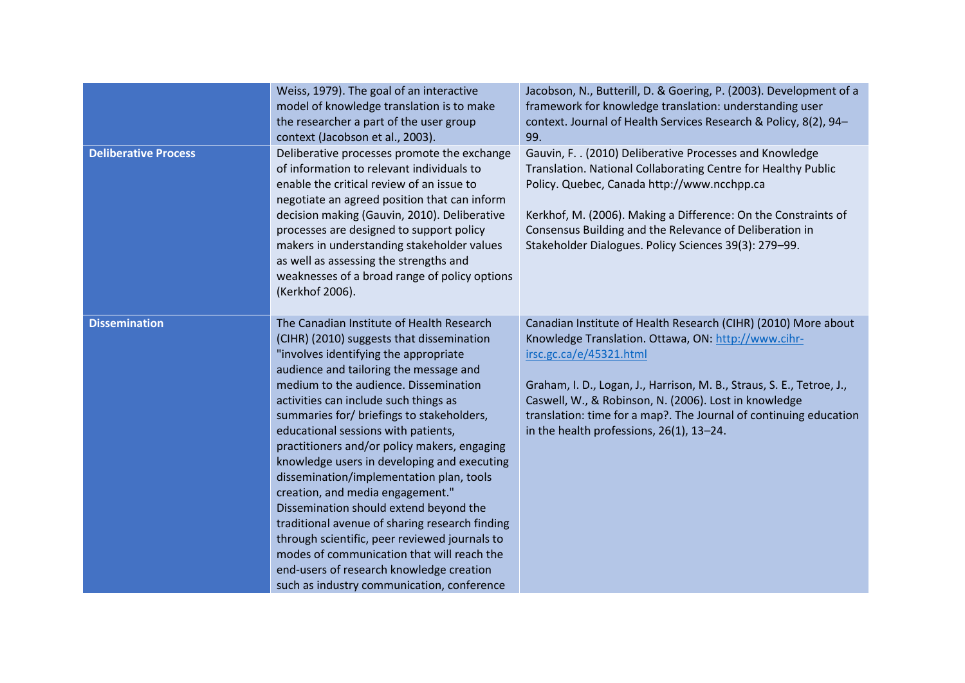|                             | Weiss, 1979). The goal of an interactive<br>model of knowledge translation is to make<br>the researcher a part of the user group<br>context (Jacobson et al., 2003).                                                                                                                                                                                                                                                                                                                                                                                                                                                                                                                                                                                                                                                | Jacobson, N., Butterill, D. & Goering, P. (2003). Development of a<br>framework for knowledge translation: understanding user<br>context. Journal of Health Services Research & Policy, 8(2), 94-<br>99.                                                                                                                                                                                            |
|-----------------------------|---------------------------------------------------------------------------------------------------------------------------------------------------------------------------------------------------------------------------------------------------------------------------------------------------------------------------------------------------------------------------------------------------------------------------------------------------------------------------------------------------------------------------------------------------------------------------------------------------------------------------------------------------------------------------------------------------------------------------------------------------------------------------------------------------------------------|-----------------------------------------------------------------------------------------------------------------------------------------------------------------------------------------------------------------------------------------------------------------------------------------------------------------------------------------------------------------------------------------------------|
| <b>Deliberative Process</b> | Deliberative processes promote the exchange<br>of information to relevant individuals to<br>enable the critical review of an issue to<br>negotiate an agreed position that can inform<br>decision making (Gauvin, 2010). Deliberative<br>processes are designed to support policy<br>makers in understanding stakeholder values<br>as well as assessing the strengths and<br>weaknesses of a broad range of policy options<br>(Kerkhof 2006).                                                                                                                                                                                                                                                                                                                                                                       | Gauvin, F. . (2010) Deliberative Processes and Knowledge<br>Translation. National Collaborating Centre for Healthy Public<br>Policy. Quebec, Canada http://www.ncchpp.ca<br>Kerkhof, M. (2006). Making a Difference: On the Constraints of<br>Consensus Building and the Relevance of Deliberation in<br>Stakeholder Dialogues. Policy Sciences 39(3): 279-99.                                      |
| <b>Dissemination</b>        | The Canadian Institute of Health Research<br>(CIHR) (2010) suggests that dissemination<br>"involves identifying the appropriate<br>audience and tailoring the message and<br>medium to the audience. Dissemination<br>activities can include such things as<br>summaries for/ briefings to stakeholders,<br>educational sessions with patients,<br>practitioners and/or policy makers, engaging<br>knowledge users in developing and executing<br>dissemination/implementation plan, tools<br>creation, and media engagement."<br>Dissemination should extend beyond the<br>traditional avenue of sharing research finding<br>through scientific, peer reviewed journals to<br>modes of communication that will reach the<br>end-users of research knowledge creation<br>such as industry communication, conference | Canadian Institute of Health Research (CIHR) (2010) More about<br>Knowledge Translation. Ottawa, ON: http://www.cihr-<br>irsc.gc.ca/e/45321.html<br>Graham, I. D., Logan, J., Harrison, M. B., Straus, S. E., Tetroe, J.,<br>Caswell, W., & Robinson, N. (2006). Lost in knowledge<br>translation: time for a map?. The Journal of continuing education<br>in the health professions, 26(1), 13-24. |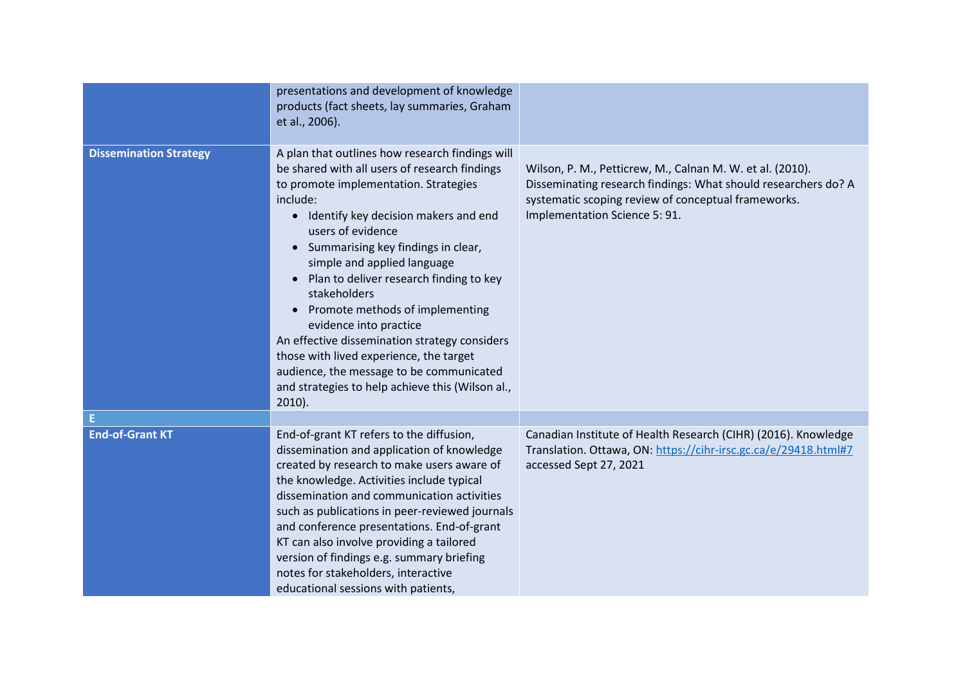|                               | presentations and development of knowledge<br>products (fact sheets, lay summaries, Graham<br>et al., 2006).                                                                                                                                                                                                                                                                                                                                                                                                                                                                                                                          |                                                                                                                                                                                                                     |
|-------------------------------|---------------------------------------------------------------------------------------------------------------------------------------------------------------------------------------------------------------------------------------------------------------------------------------------------------------------------------------------------------------------------------------------------------------------------------------------------------------------------------------------------------------------------------------------------------------------------------------------------------------------------------------|---------------------------------------------------------------------------------------------------------------------------------------------------------------------------------------------------------------------|
| <b>Dissemination Strategy</b> | A plan that outlines how research findings will<br>be shared with all users of research findings<br>to promote implementation. Strategies<br>include:<br>Identify key decision makers and end<br>$\bullet$<br>users of evidence<br>Summarising key findings in clear,<br>simple and applied language<br>Plan to deliver research finding to key<br>stakeholders<br>Promote methods of implementing<br>evidence into practice<br>An effective dissemination strategy considers<br>those with lived experience, the target<br>audience, the message to be communicated<br>and strategies to help achieve this (Wilson al.,<br>$2010$ ). | Wilson, P. M., Petticrew, M., Calnan M. W. et al. (2010).<br>Disseminating research findings: What should researchers do? A<br>systematic scoping review of conceptual frameworks.<br>Implementation Science 5: 91. |
| Е                             |                                                                                                                                                                                                                                                                                                                                                                                                                                                                                                                                                                                                                                       |                                                                                                                                                                                                                     |
| <b>End-of-Grant KT</b>        | End-of-grant KT refers to the diffusion,<br>dissemination and application of knowledge<br>created by research to make users aware of<br>the knowledge. Activities include typical<br>dissemination and communication activities<br>such as publications in peer-reviewed journals<br>and conference presentations. End-of-grant<br>KT can also involve providing a tailored<br>version of findings e.g. summary briefing<br>notes for stakeholders, interactive<br>educational sessions with patients,                                                                                                                                | Canadian Institute of Health Research (CIHR) (2016). Knowledge<br>Translation. Ottawa, ON: https://cihr-irsc.gc.ca/e/29418.html#7<br>accessed Sept 27, 2021                                                         |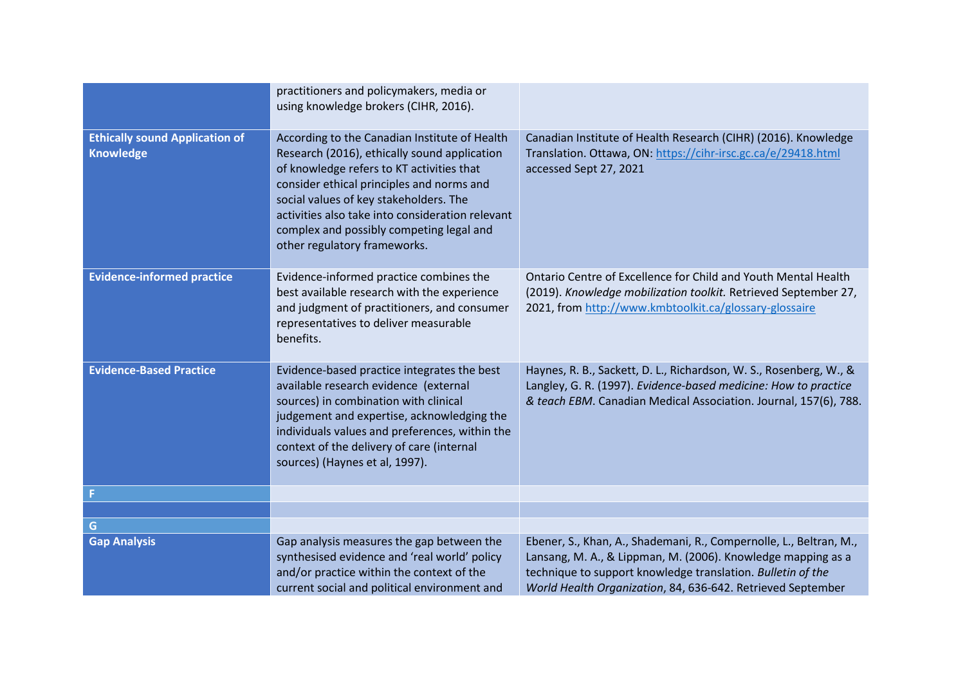|                                                           | practitioners and policymakers, media or<br>using knowledge brokers (CIHR, 2016).                                                                                                                                                                                                                                                                                 |                                                                                                                                                                                                                                                                  |
|-----------------------------------------------------------|-------------------------------------------------------------------------------------------------------------------------------------------------------------------------------------------------------------------------------------------------------------------------------------------------------------------------------------------------------------------|------------------------------------------------------------------------------------------------------------------------------------------------------------------------------------------------------------------------------------------------------------------|
| <b>Ethically sound Application of</b><br><b>Knowledge</b> | According to the Canadian Institute of Health<br>Research (2016), ethically sound application<br>of knowledge refers to KT activities that<br>consider ethical principles and norms and<br>social values of key stakeholders. The<br>activities also take into consideration relevant<br>complex and possibly competing legal and<br>other regulatory frameworks. | Canadian Institute of Health Research (CIHR) (2016). Knowledge<br>Translation. Ottawa, ON: https://cihr-irsc.gc.ca/e/29418.html<br>accessed Sept 27, 2021                                                                                                        |
| <b>Evidence-informed practice</b>                         | Evidence-informed practice combines the<br>best available research with the experience<br>and judgment of practitioners, and consumer<br>representatives to deliver measurable<br>benefits.                                                                                                                                                                       | Ontario Centre of Excellence for Child and Youth Mental Health<br>(2019). Knowledge mobilization toolkit. Retrieved September 27,<br>2021, from http://www.kmbtoolkit.ca/glossary-glossaire                                                                      |
| <b>Evidence-Based Practice</b>                            | Evidence-based practice integrates the best<br>available research evidence (external<br>sources) in combination with clinical<br>judgement and expertise, acknowledging the<br>individuals values and preferences, within the<br>context of the delivery of care (internal<br>sources) (Haynes et al, 1997).                                                      | Haynes, R. B., Sackett, D. L., Richardson, W. S., Rosenberg, W., &<br>Langley, G. R. (1997). Evidence-based medicine: How to practice<br>& teach EBM. Canadian Medical Association. Journal, 157(6), 788.                                                        |
|                                                           |                                                                                                                                                                                                                                                                                                                                                                   |                                                                                                                                                                                                                                                                  |
|                                                           |                                                                                                                                                                                                                                                                                                                                                                   |                                                                                                                                                                                                                                                                  |
| G                                                         |                                                                                                                                                                                                                                                                                                                                                                   |                                                                                                                                                                                                                                                                  |
| <b>Gap Analysis</b>                                       | Gap analysis measures the gap between the<br>synthesised evidence and 'real world' policy<br>and/or practice within the context of the<br>current social and political environment and                                                                                                                                                                            | Ebener, S., Khan, A., Shademani, R., Compernolle, L., Beltran, M.,<br>Lansang, M. A., & Lippman, M. (2006). Knowledge mapping as a<br>technique to support knowledge translation. Bulletin of the<br>World Health Organization, 84, 636-642. Retrieved September |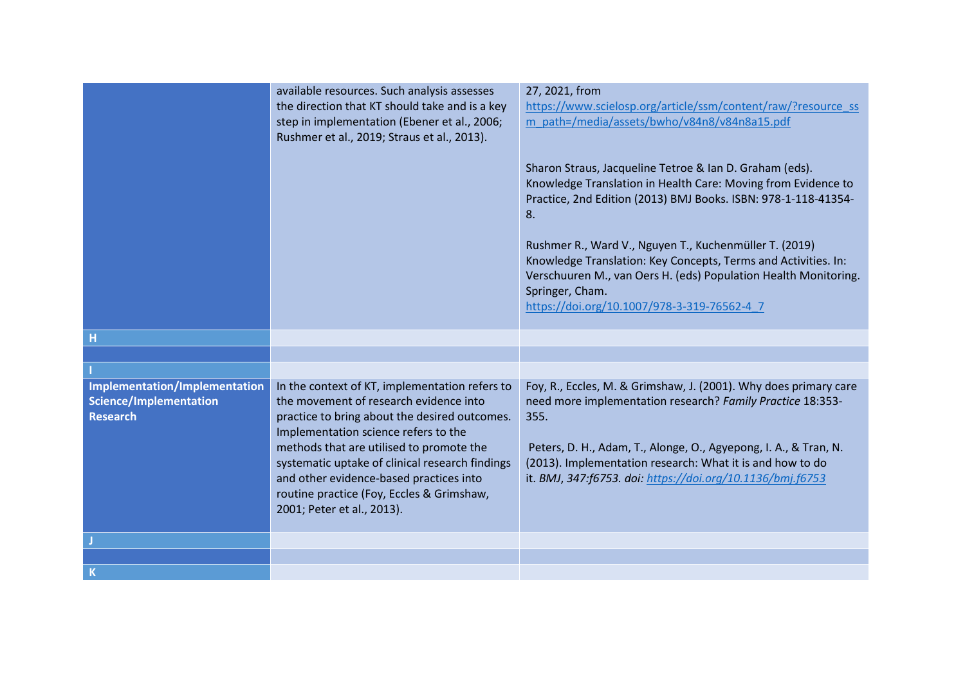|                                                                                   | available resources. Such analysis assesses<br>the direction that KT should take and is a key<br>step in implementation (Ebener et al., 2006;<br>Rushmer et al., 2019; Straus et al., 2013).                                                                                                                                                                                                           | 27, 2021, from<br>https://www.scielosp.org/article/ssm/content/raw/?resource_ss<br>m path=/media/assets/bwho/v84n8/v84n8a15.pdf<br>Sharon Straus, Jacqueline Tetroe & Ian D. Graham (eds).<br>Knowledge Translation in Health Care: Moving from Evidence to<br>Practice, 2nd Edition (2013) BMJ Books. ISBN: 978-1-118-41354-<br>8.<br>Rushmer R., Ward V., Nguyen T., Kuchenmüller T. (2019)<br>Knowledge Translation: Key Concepts, Terms and Activities. In:<br>Verschuuren M., van Oers H. (eds) Population Health Monitoring.<br>Springer, Cham.<br>https://doi.org/10.1007/978-3-319-76562-4 7 |
|-----------------------------------------------------------------------------------|--------------------------------------------------------------------------------------------------------------------------------------------------------------------------------------------------------------------------------------------------------------------------------------------------------------------------------------------------------------------------------------------------------|------------------------------------------------------------------------------------------------------------------------------------------------------------------------------------------------------------------------------------------------------------------------------------------------------------------------------------------------------------------------------------------------------------------------------------------------------------------------------------------------------------------------------------------------------------------------------------------------------|
| н                                                                                 |                                                                                                                                                                                                                                                                                                                                                                                                        |                                                                                                                                                                                                                                                                                                                                                                                                                                                                                                                                                                                                      |
|                                                                                   |                                                                                                                                                                                                                                                                                                                                                                                                        |                                                                                                                                                                                                                                                                                                                                                                                                                                                                                                                                                                                                      |
|                                                                                   |                                                                                                                                                                                                                                                                                                                                                                                                        |                                                                                                                                                                                                                                                                                                                                                                                                                                                                                                                                                                                                      |
| Implementation/Implementation<br><b>Science/Implementation</b><br><b>Research</b> | In the context of KT, implementation refers to<br>the movement of research evidence into<br>practice to bring about the desired outcomes.<br>Implementation science refers to the<br>methods that are utilised to promote the<br>systematic uptake of clinical research findings<br>and other evidence-based practices into<br>routine practice (Foy, Eccles & Grimshaw,<br>2001; Peter et al., 2013). | Foy, R., Eccles, M. & Grimshaw, J. (2001). Why does primary care<br>need more implementation research? Family Practice 18:353-<br>355.<br>Peters, D. H., Adam, T., Alonge, O., Agyepong, I. A., & Tran, N.<br>(2013). Implementation research: What it is and how to do<br>it. BMJ, 347:f6753. doi: https://doi.org/10.1136/bmj.f6753                                                                                                                                                                                                                                                                |
|                                                                                   |                                                                                                                                                                                                                                                                                                                                                                                                        |                                                                                                                                                                                                                                                                                                                                                                                                                                                                                                                                                                                                      |
|                                                                                   |                                                                                                                                                                                                                                                                                                                                                                                                        |                                                                                                                                                                                                                                                                                                                                                                                                                                                                                                                                                                                                      |
| $\overline{\mathsf{K}}$                                                           |                                                                                                                                                                                                                                                                                                                                                                                                        |                                                                                                                                                                                                                                                                                                                                                                                                                                                                                                                                                                                                      |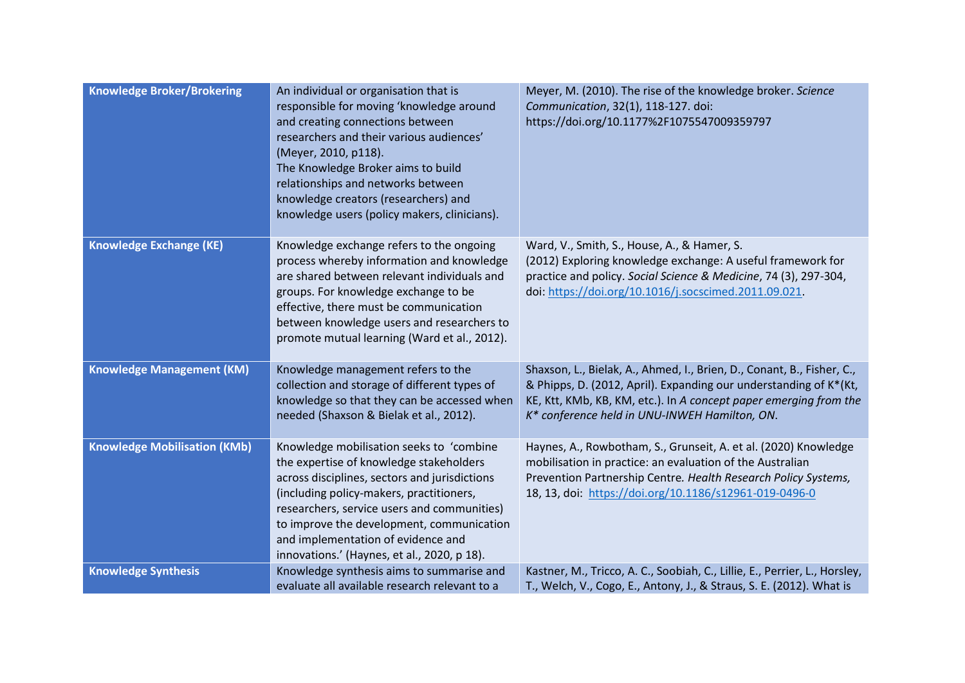| <b>Knowledge Broker/Brokering</b>   | An individual or organisation that is<br>responsible for moving 'knowledge around<br>and creating connections between<br>researchers and their various audiences'<br>(Meyer, 2010, p118).<br>The Knowledge Broker aims to build<br>relationships and networks between<br>knowledge creators (researchers) and<br>knowledge users (policy makers, clinicians).     | Meyer, M. (2010). The rise of the knowledge broker. Science<br>Communication, 32(1), 118-127. doi:<br>https://doi.org/10.1177%2F1075547009359797                                                                                                                  |
|-------------------------------------|-------------------------------------------------------------------------------------------------------------------------------------------------------------------------------------------------------------------------------------------------------------------------------------------------------------------------------------------------------------------|-------------------------------------------------------------------------------------------------------------------------------------------------------------------------------------------------------------------------------------------------------------------|
| <b>Knowledge Exchange (KE)</b>      | Knowledge exchange refers to the ongoing<br>process whereby information and knowledge<br>are shared between relevant individuals and<br>groups. For knowledge exchange to be<br>effective, there must be communication<br>between knowledge users and researchers to<br>promote mutual learning (Ward et al., 2012).                                              | Ward, V., Smith, S., House, A., & Hamer, S.<br>(2012) Exploring knowledge exchange: A useful framework for<br>practice and policy. Social Science & Medicine, 74 (3), 297-304,<br>doi: https://doi.org/10.1016/j.socscimed.2011.09.021.                           |
| <b>Knowledge Management (KM)</b>    | Knowledge management refers to the<br>collection and storage of different types of<br>knowledge so that they can be accessed when<br>needed (Shaxson & Bielak et al., 2012).                                                                                                                                                                                      | Shaxson, L., Bielak, A., Ahmed, I., Brien, D., Conant, B., Fisher, C.,<br>& Phipps, D. (2012, April). Expanding our understanding of K*(Kt,<br>KE, Ktt, KMb, KB, KM, etc.). In A concept paper emerging from the<br>K* conference held in UNU-INWEH Hamilton, ON. |
| <b>Knowledge Mobilisation (KMb)</b> | Knowledge mobilisation seeks to 'combine<br>the expertise of knowledge stakeholders<br>across disciplines, sectors and jurisdictions<br>(including policy-makers, practitioners,<br>researchers, service users and communities)<br>to improve the development, communication<br>and implementation of evidence and<br>innovations.' (Haynes, et al., 2020, p 18). | Haynes, A., Rowbotham, S., Grunseit, A. et al. (2020) Knowledge<br>mobilisation in practice: an evaluation of the Australian<br>Prevention Partnership Centre. Health Research Policy Systems,<br>18, 13, doi: https://doi.org/10.1186/s12961-019-0496-0          |
| <b>Knowledge Synthesis</b>          | Knowledge synthesis aims to summarise and<br>evaluate all available research relevant to a                                                                                                                                                                                                                                                                        | Kastner, M., Tricco, A. C., Soobiah, C., Lillie, E., Perrier, L., Horsley,<br>T., Welch, V., Cogo, E., Antony, J., & Straus, S. E. (2012). What is                                                                                                                |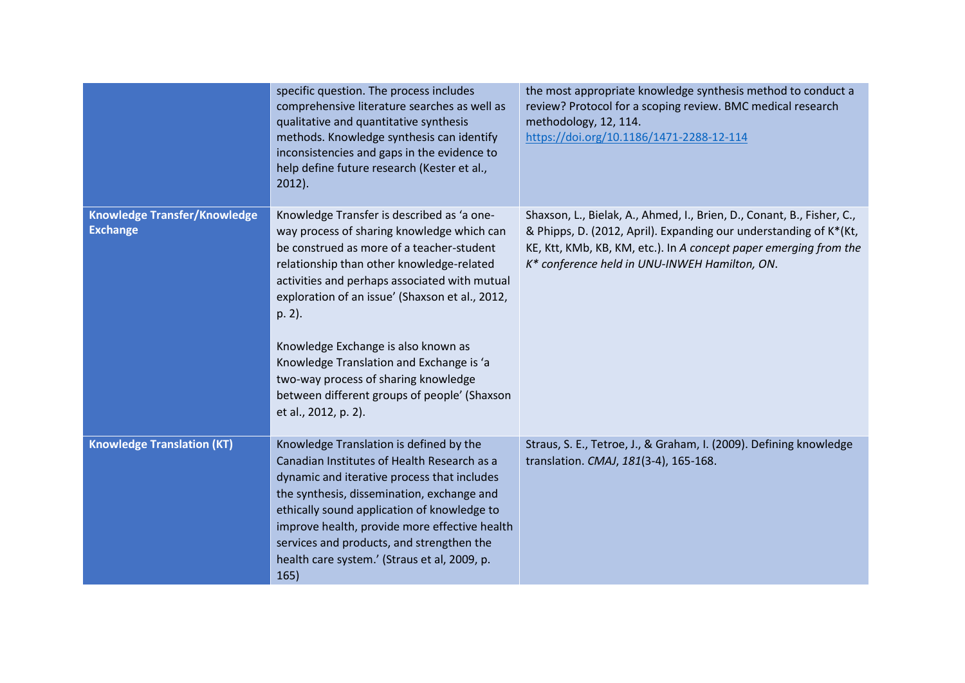|                                                        | specific question. The process includes<br>comprehensive literature searches as well as<br>qualitative and quantitative synthesis<br>methods. Knowledge synthesis can identify<br>inconsistencies and gaps in the evidence to<br>help define future research (Kester et al.,<br>$2012$ ).                                                                                                                                                                                                           | the most appropriate knowledge synthesis method to conduct a<br>review? Protocol for a scoping review. BMC medical research<br>methodology, 12, 114.<br>https://doi.org/10.1186/1471-2288-12-114                                                                  |
|--------------------------------------------------------|-----------------------------------------------------------------------------------------------------------------------------------------------------------------------------------------------------------------------------------------------------------------------------------------------------------------------------------------------------------------------------------------------------------------------------------------------------------------------------------------------------|-------------------------------------------------------------------------------------------------------------------------------------------------------------------------------------------------------------------------------------------------------------------|
| <b>Knowledge Transfer/Knowledge</b><br><b>Exchange</b> | Knowledge Transfer is described as 'a one-<br>way process of sharing knowledge which can<br>be construed as more of a teacher-student<br>relationship than other knowledge-related<br>activities and perhaps associated with mutual<br>exploration of an issue' (Shaxson et al., 2012,<br>p. 2).<br>Knowledge Exchange is also known as<br>Knowledge Translation and Exchange is 'a<br>two-way process of sharing knowledge<br>between different groups of people' (Shaxson<br>et al., 2012, p. 2). | Shaxson, L., Bielak, A., Ahmed, I., Brien, D., Conant, B., Fisher, C.,<br>& Phipps, D. (2012, April). Expanding our understanding of K*(Kt,<br>KE, Ktt, KMb, KB, KM, etc.). In A concept paper emerging from the<br>K* conference held in UNU-INWEH Hamilton, ON. |
| <b>Knowledge Translation (KT)</b>                      | Knowledge Translation is defined by the<br>Canadian Institutes of Health Research as a<br>dynamic and iterative process that includes<br>the synthesis, dissemination, exchange and<br>ethically sound application of knowledge to<br>improve health, provide more effective health<br>services and products, and strengthen the<br>health care system.' (Straus et al, 2009, p.<br>165)                                                                                                            | Straus, S. E., Tetroe, J., & Graham, I. (2009). Defining knowledge<br>translation. CMAJ, 181(3-4), 165-168.                                                                                                                                                       |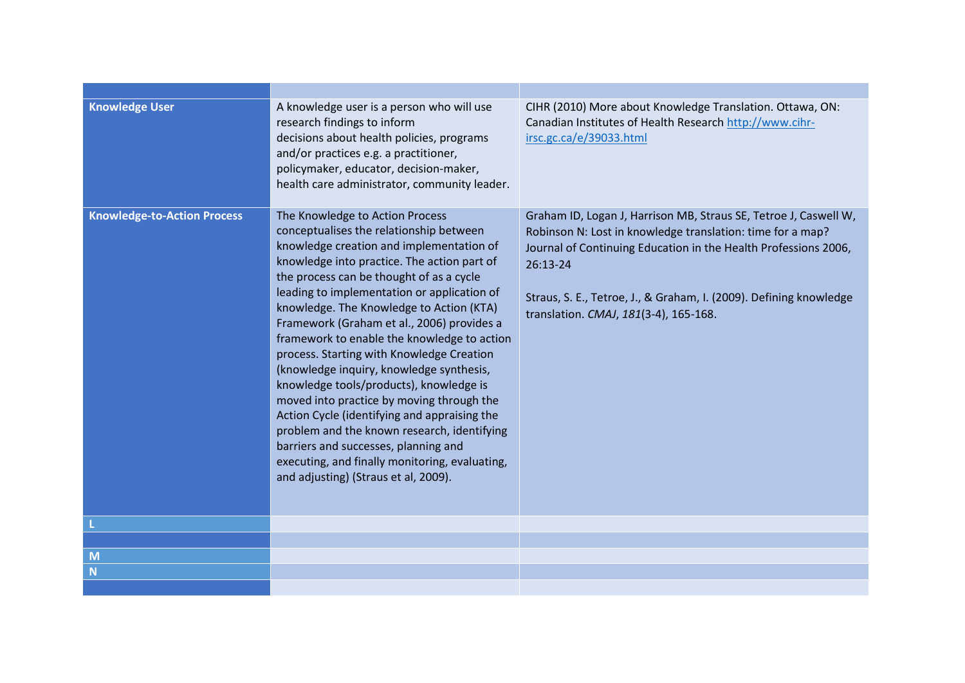| <b>Knowledge User</b>              | A knowledge user is a person who will use<br>research findings to inform<br>decisions about health policies, programs<br>and/or practices e.g. a practitioner,<br>policymaker, educator, decision-maker,<br>health care administrator, community leader.                                                                                                                                                                                                                                                                                                                                                                                                                                                                                                                                                                    | CIHR (2010) More about Knowledge Translation. Ottawa, ON:<br>Canadian Institutes of Health Research http://www.cihr-<br>irsc.gc.ca/e/39033.html                                                                                                                                                                              |
|------------------------------------|-----------------------------------------------------------------------------------------------------------------------------------------------------------------------------------------------------------------------------------------------------------------------------------------------------------------------------------------------------------------------------------------------------------------------------------------------------------------------------------------------------------------------------------------------------------------------------------------------------------------------------------------------------------------------------------------------------------------------------------------------------------------------------------------------------------------------------|------------------------------------------------------------------------------------------------------------------------------------------------------------------------------------------------------------------------------------------------------------------------------------------------------------------------------|
| <b>Knowledge-to-Action Process</b> | The Knowledge to Action Process<br>conceptualises the relationship between<br>knowledge creation and implementation of<br>knowledge into practice. The action part of<br>the process can be thought of as a cycle<br>leading to implementation or application of<br>knowledge. The Knowledge to Action (KTA)<br>Framework (Graham et al., 2006) provides a<br>framework to enable the knowledge to action<br>process. Starting with Knowledge Creation<br>(knowledge inquiry, knowledge synthesis,<br>knowledge tools/products), knowledge is<br>moved into practice by moving through the<br>Action Cycle (identifying and appraising the<br>problem and the known research, identifying<br>barriers and successes, planning and<br>executing, and finally monitoring, evaluating,<br>and adjusting) (Straus et al, 2009). | Graham ID, Logan J, Harrison MB, Straus SE, Tetroe J, Caswell W,<br>Robinson N: Lost in knowledge translation: time for a map?<br>Journal of Continuing Education in the Health Professions 2006,<br>26:13-24<br>Straus, S. E., Tetroe, J., & Graham, I. (2009). Defining knowledge<br>translation. CMAJ, 181(3-4), 165-168. |
|                                    |                                                                                                                                                                                                                                                                                                                                                                                                                                                                                                                                                                                                                                                                                                                                                                                                                             |                                                                                                                                                                                                                                                                                                                              |
|                                    |                                                                                                                                                                                                                                                                                                                                                                                                                                                                                                                                                                                                                                                                                                                                                                                                                             |                                                                                                                                                                                                                                                                                                                              |
| M                                  |                                                                                                                                                                                                                                                                                                                                                                                                                                                                                                                                                                                                                                                                                                                                                                                                                             |                                                                                                                                                                                                                                                                                                                              |
| N                                  |                                                                                                                                                                                                                                                                                                                                                                                                                                                                                                                                                                                                                                                                                                                                                                                                                             |                                                                                                                                                                                                                                                                                                                              |
|                                    |                                                                                                                                                                                                                                                                                                                                                                                                                                                                                                                                                                                                                                                                                                                                                                                                                             |                                                                                                                                                                                                                                                                                                                              |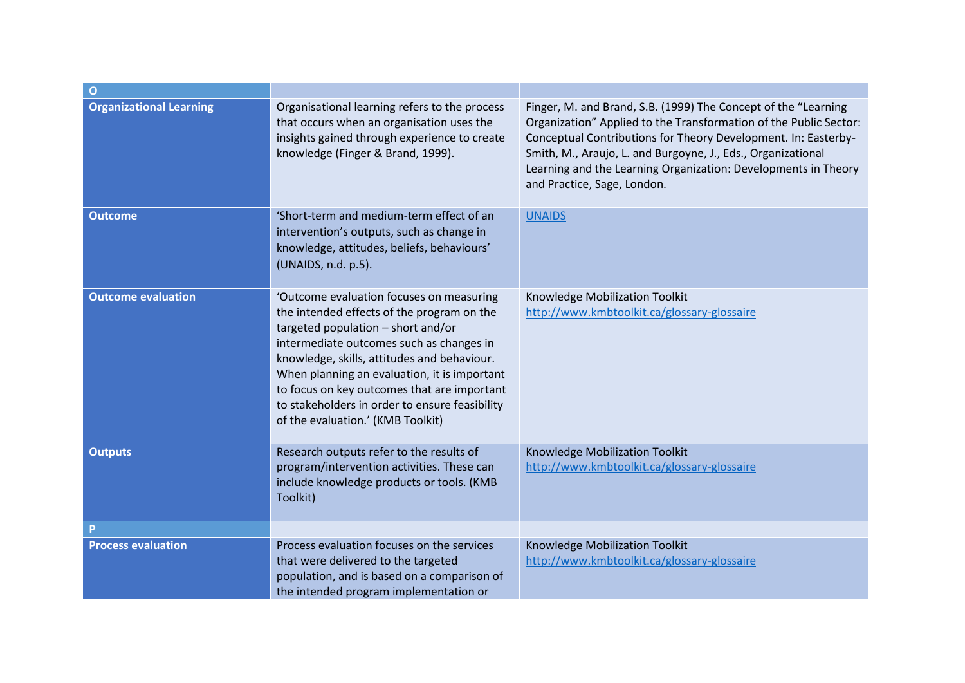| $\overline{O}$                 |                                                                                                                                                                                                                                                                                                                                                                                                               |                                                                                                                                                                                                                                                                                                                                                                        |
|--------------------------------|---------------------------------------------------------------------------------------------------------------------------------------------------------------------------------------------------------------------------------------------------------------------------------------------------------------------------------------------------------------------------------------------------------------|------------------------------------------------------------------------------------------------------------------------------------------------------------------------------------------------------------------------------------------------------------------------------------------------------------------------------------------------------------------------|
| <b>Organizational Learning</b> | Organisational learning refers to the process<br>that occurs when an organisation uses the<br>insights gained through experience to create<br>knowledge (Finger & Brand, 1999).                                                                                                                                                                                                                               | Finger, M. and Brand, S.B. (1999) The Concept of the "Learning<br>Organization" Applied to the Transformation of the Public Sector:<br>Conceptual Contributions for Theory Development. In: Easterby-<br>Smith, M., Araujo, L. and Burgoyne, J., Eds., Organizational<br>Learning and the Learning Organization: Developments in Theory<br>and Practice, Sage, London. |
| <b>Outcome</b>                 | 'Short-term and medium-term effect of an<br>intervention's outputs, such as change in<br>knowledge, attitudes, beliefs, behaviours'<br>(UNAIDS, n.d. p.5).                                                                                                                                                                                                                                                    | <b>UNAIDS</b>                                                                                                                                                                                                                                                                                                                                                          |
| <b>Outcome evaluation</b>      | 'Outcome evaluation focuses on measuring<br>the intended effects of the program on the<br>targeted population - short and/or<br>intermediate outcomes such as changes in<br>knowledge, skills, attitudes and behaviour.<br>When planning an evaluation, it is important<br>to focus on key outcomes that are important<br>to stakeholders in order to ensure feasibility<br>of the evaluation.' (KMB Toolkit) | Knowledge Mobilization Toolkit<br>http://www.kmbtoolkit.ca/glossary-glossaire                                                                                                                                                                                                                                                                                          |
| <b>Outputs</b>                 | Research outputs refer to the results of<br>program/intervention activities. These can<br>include knowledge products or tools. (KMB<br>Toolkit)                                                                                                                                                                                                                                                               | Knowledge Mobilization Toolkit<br>http://www.kmbtoolkit.ca/glossary-glossaire                                                                                                                                                                                                                                                                                          |
| <b>p</b>                       |                                                                                                                                                                                                                                                                                                                                                                                                               |                                                                                                                                                                                                                                                                                                                                                                        |
| <b>Process evaluation</b>      | Process evaluation focuses on the services<br>that were delivered to the targeted<br>population, and is based on a comparison of<br>the intended program implementation or                                                                                                                                                                                                                                    | Knowledge Mobilization Toolkit<br>http://www.kmbtoolkit.ca/glossary-glossaire                                                                                                                                                                                                                                                                                          |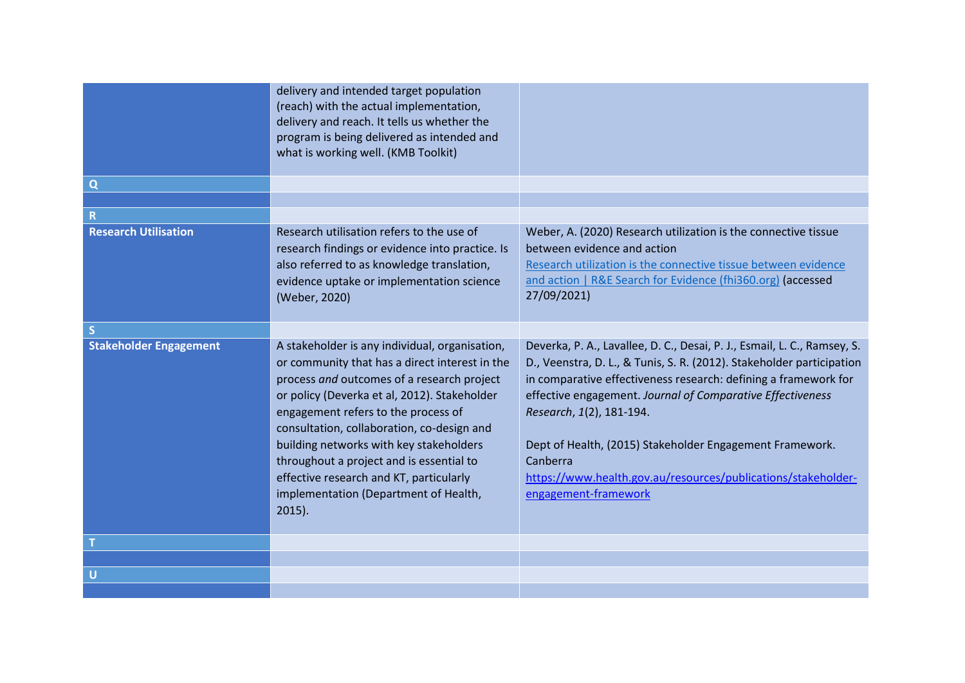|                               | delivery and intended target population<br>(reach) with the actual implementation,<br>delivery and reach. It tells us whether the<br>program is being delivered as intended and<br>what is working well. (KMB Toolkit)                                                                                                                                                                                                                                                      |                                                                                                                                                                                                                                                                                                                                                                                                                                                                                 |
|-------------------------------|-----------------------------------------------------------------------------------------------------------------------------------------------------------------------------------------------------------------------------------------------------------------------------------------------------------------------------------------------------------------------------------------------------------------------------------------------------------------------------|---------------------------------------------------------------------------------------------------------------------------------------------------------------------------------------------------------------------------------------------------------------------------------------------------------------------------------------------------------------------------------------------------------------------------------------------------------------------------------|
| $\Omega$                      |                                                                                                                                                                                                                                                                                                                                                                                                                                                                             |                                                                                                                                                                                                                                                                                                                                                                                                                                                                                 |
|                               |                                                                                                                                                                                                                                                                                                                                                                                                                                                                             |                                                                                                                                                                                                                                                                                                                                                                                                                                                                                 |
|                               |                                                                                                                                                                                                                                                                                                                                                                                                                                                                             |                                                                                                                                                                                                                                                                                                                                                                                                                                                                                 |
| <b>Research Utilisation</b>   | Research utilisation refers to the use of<br>research findings or evidence into practice. Is<br>also referred to as knowledge translation,<br>evidence uptake or implementation science<br>(Weber, 2020)                                                                                                                                                                                                                                                                    | Weber, A. (2020) Research utilization is the connective tissue<br>between evidence and action<br>Research utilization is the connective tissue between evidence<br>and action   R&E Search for Evidence (fhi360.org) (accessed<br>27/09/2021)                                                                                                                                                                                                                                   |
| <sub>S</sub>                  |                                                                                                                                                                                                                                                                                                                                                                                                                                                                             |                                                                                                                                                                                                                                                                                                                                                                                                                                                                                 |
| <b>Stakeholder Engagement</b> | A stakeholder is any individual, organisation,<br>or community that has a direct interest in the<br>process and outcomes of a research project<br>or policy (Deverka et al, 2012). Stakeholder<br>engagement refers to the process of<br>consultation, collaboration, co-design and<br>building networks with key stakeholders<br>throughout a project and is essential to<br>effective research and KT, particularly<br>implementation (Department of Health,<br>$2015$ ). | Deverka, P. A., Lavallee, D. C., Desai, P. J., Esmail, L. C., Ramsey, S.<br>D., Veenstra, D. L., & Tunis, S. R. (2012). Stakeholder participation<br>in comparative effectiveness research: defining a framework for<br>effective engagement. Journal of Comparative Effectiveness<br>Research, 1(2), 181-194.<br>Dept of Health, (2015) Stakeholder Engagement Framework.<br>Canberra<br>https://www.health.gov.au/resources/publications/stakeholder-<br>engagement-framework |
|                               |                                                                                                                                                                                                                                                                                                                                                                                                                                                                             |                                                                                                                                                                                                                                                                                                                                                                                                                                                                                 |
|                               |                                                                                                                                                                                                                                                                                                                                                                                                                                                                             |                                                                                                                                                                                                                                                                                                                                                                                                                                                                                 |
| <b>U</b>                      |                                                                                                                                                                                                                                                                                                                                                                                                                                                                             |                                                                                                                                                                                                                                                                                                                                                                                                                                                                                 |
|                               |                                                                                                                                                                                                                                                                                                                                                                                                                                                                             |                                                                                                                                                                                                                                                                                                                                                                                                                                                                                 |